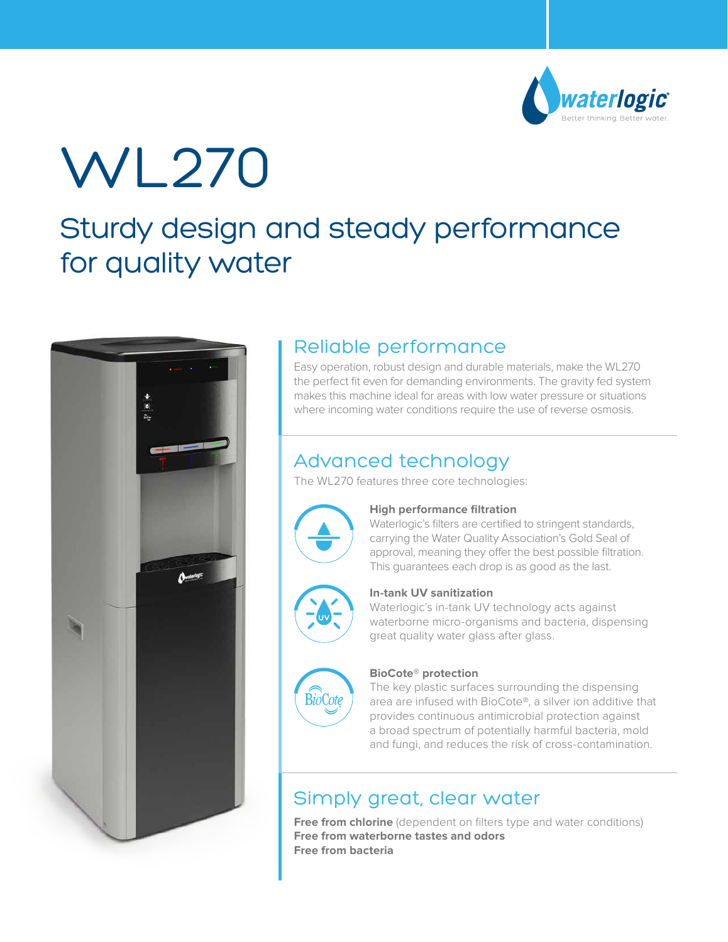

# WL270

## Sturdy design and steady performance for quality water



## Reliable performance

Easy operation, robust design and durable materials, make the WL270 the perfect fit even for demanding environments. The gravity fed system makes this machine ideal for areas with low water pressure or situations where incoming water conditions require the use of reverse osmosis.

## Advanced technology

The WL270 features three core technologies:



#### **High performance filtration**

Waterlogic's filters are certified to stringent standards, carrying the Water Quality Association's Gold Seal of approval, meaning they offer the best possible filtration. This guarantees each drop is as good as the last.



#### **In-tank UV sanitization**

Waterlogic's in-tank UV technology acts against waterborne micro-organisms and bacteria, dispensing great quality water glass after glass.



#### **BioCote® protection**

The key plastic surfaces surrounding the dispensing area are infused with BioCote®, a silver ion additive that provides continuous antimicrobial protection against a broad spectrum of potentially harmful bacteria, mold and fungi, and reduces the risk of cross-contamination.

## Simply great, clear water

**Free from chlorine** (dependent on filters type and water conditions) **Free from waterborne tastes and odors Free from bacteria**